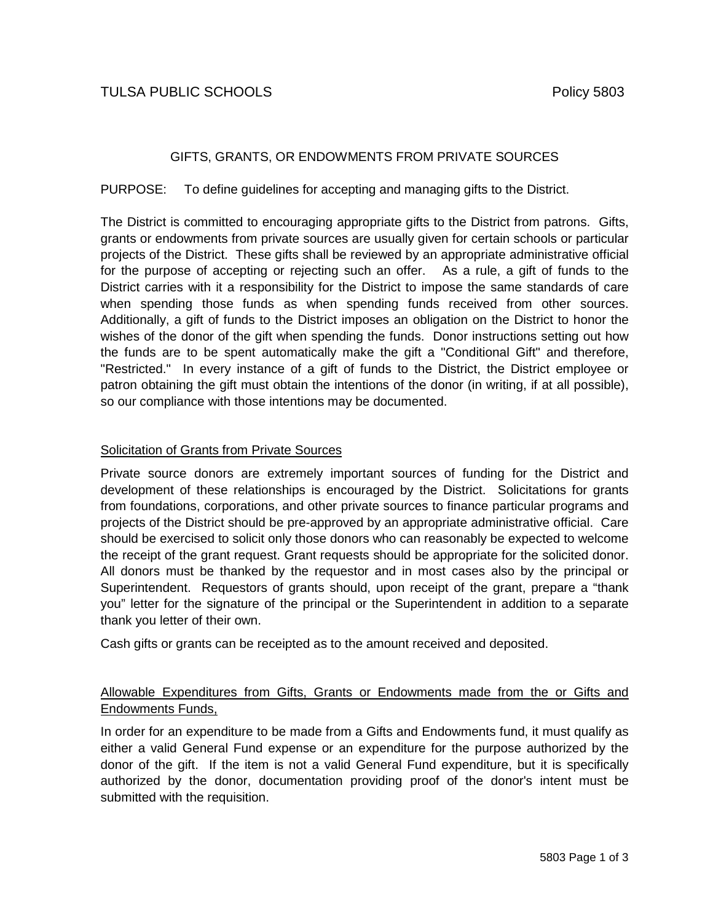# TULSA PUBLIC SCHOOLS **PUBLIC SCHOOLS**

## GIFTS, GRANTS, OR ENDOWMENTS FROM PRIVATE SOURCES

PURPOSE: To define guidelines for accepting and managing gifts to the District.

The District is committed to encouraging appropriate gifts to the District from patrons. Gifts, grants or endowments from private sources are usually given for certain schools or particular projects of the District. These gifts shall be reviewed by an appropriate administrative official for the purpose of accepting or rejecting such an offer. As a rule, a gift of funds to the District carries with it a responsibility for the District to impose the same standards of care when spending those funds as when spending funds received from other sources. Additionally, a gift of funds to the District imposes an obligation on the District to honor the wishes of the donor of the gift when spending the funds. Donor instructions setting out how the funds are to be spent automatically make the gift a "Conditional Gift" and therefore, "Restricted." In every instance of a gift of funds to the District, the District employee or patron obtaining the gift must obtain the intentions of the donor (in writing, if at all possible), so our compliance with those intentions may be documented.

## Solicitation of Grants from Private Sources

Private source donors are extremely important sources of funding for the District and development of these relationships is encouraged by the District. Solicitations for grants from foundations, corporations, and other private sources to finance particular programs and projects of the District should be pre-approved by an appropriate administrative official. Care should be exercised to solicit only those donors who can reasonably be expected to welcome the receipt of the grant request. Grant requests should be appropriate for the solicited donor. All donors must be thanked by the requestor and in most cases also by the principal or Superintendent. Requestors of grants should, upon receipt of the grant, prepare a "thank you" letter for the signature of the principal or the Superintendent in addition to a separate thank you letter of their own.

Cash gifts or grants can be receipted as to the amount received and deposited.

## Allowable Expenditures from Gifts, Grants or Endowments made from the or Gifts and Endowments Funds,

In order for an expenditure to be made from a Gifts and Endowments fund, it must qualify as either a valid General Fund expense or an expenditure for the purpose authorized by the donor of the gift. If the item is not a valid General Fund expenditure, but it is specifically authorized by the donor, documentation providing proof of the donor's intent must be submitted with the requisition.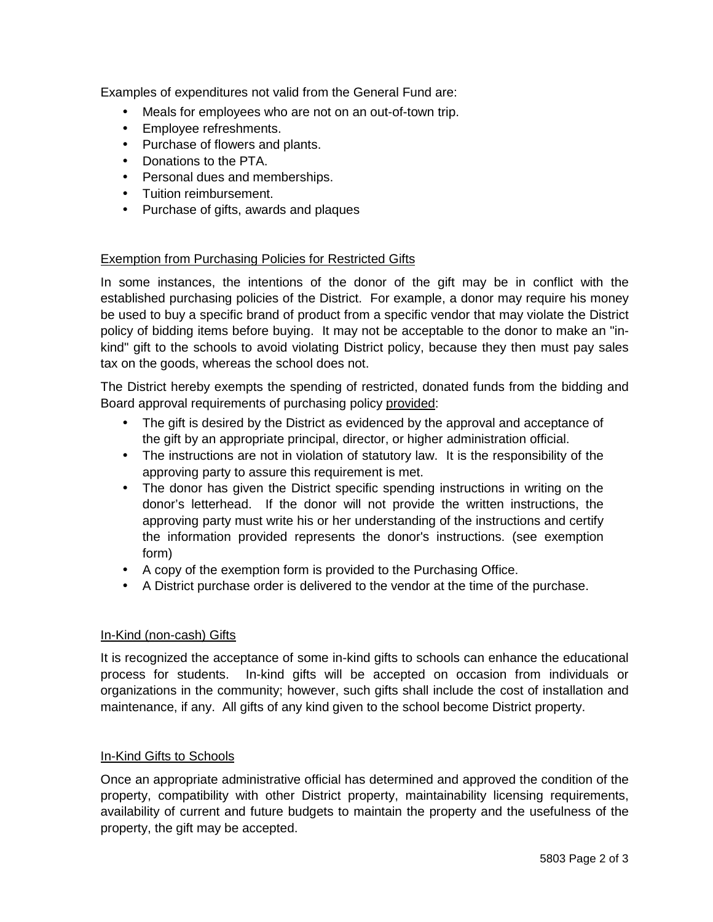Examples of expenditures not valid from the General Fund are:

- Meals for employees who are not on an out-of-town trip.
- Employee refreshments.
- Purchase of flowers and plants.
- Donations to the PTA.
- Personal dues and memberships.
- Tuition reimbursement.
- Purchase of gifts, awards and plaques

### Exemption from Purchasing Policies for Restricted Gifts

In some instances, the intentions of the donor of the gift may be in conflict with the established purchasing policies of the District. For example, a donor may require his money be used to buy a specific brand of product from a specific vendor that may violate the District policy of bidding items before buying. It may not be acceptable to the donor to make an "inkind" gift to the schools to avoid violating District policy, because they then must pay sales tax on the goods, whereas the school does not.

The District hereby exempts the spending of restricted, donated funds from the bidding and Board approval requirements of purchasing policy provided:

- The gift is desired by the District as evidenced by the approval and acceptance of the gift by an appropriate principal, director, or higher administration official.
- The instructions are not in violation of statutory law. It is the responsibility of the approving party to assure this requirement is met.
- The donor has given the District specific spending instructions in writing on the donor's letterhead. If the donor will not provide the written instructions, the approving party must write his or her understanding of the instructions and certify the information provided represents the donor's instructions. (see exemption form)
- A copy of the exemption form is provided to the Purchasing Office.
- A District purchase order is delivered to the vendor at the time of the purchase.

## In-Kind (non-cash) Gifts

It is recognized the acceptance of some in-kind gifts to schools can enhance the educational process for students. In-kind gifts will be accepted on occasion from individuals or organizations in the community; however, such gifts shall include the cost of installation and maintenance, if any. All gifts of any kind given to the school become District property.

#### In-Kind Gifts to Schools

Once an appropriate administrative official has determined and approved the condition of the property, compatibility with other District property, maintainability licensing requirements, availability of current and future budgets to maintain the property and the usefulness of the property, the gift may be accepted.